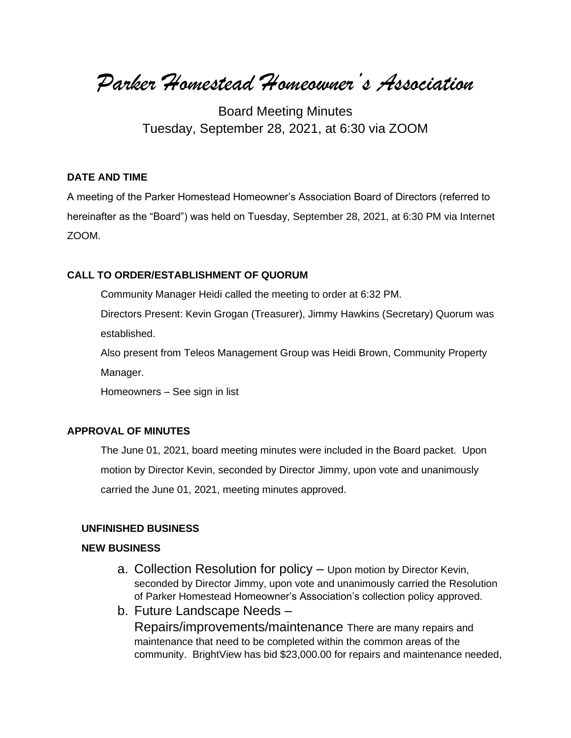*Parker Homestead Homeowner's Association*

Board Meeting Minutes Tuesday, September 28, 2021, at 6:30 via ZOOM

## **DATE AND TIME**

A meeting of the Parker Homestead Homeowner's Association Board of Directors (referred to hereinafter as the "Board") was held on Tuesday, September 28, 2021, at 6:30 PM via Internet ZOOM.

### **CALL TO ORDER/ESTABLISHMENT OF QUORUM**

Community Manager Heidi called the meeting to order at 6:32 PM.

Directors Present: Kevin Grogan (Treasurer), Jimmy Hawkins (Secretary) Quorum was established.

Also present from Teleos Management Group was Heidi Brown, Community Property Manager.

Homeowners – See sign in list

### **APPROVAL OF MINUTES**

The June 01, 2021, board meeting minutes were included in the Board packet. Upon motion by Director Kevin, seconded by Director Jimmy, upon vote and unanimously carried the June 01, 2021, meeting minutes approved.

## **UNFINISHED BUSINESS**

## **NEW BUSINESS**

- a. Collection Resolution for policy Upon motion by Director Kevin, seconded by Director Jimmy, upon vote and unanimously carried the Resolution of Parker Homestead Homeowner's Association's collection policy approved.
- b. Future Landscape Needs Repairs/improvements/maintenance There are many repairs and maintenance that need to be completed within the common areas of the community. BrightView has bid \$23,000.00 for repairs and maintenance needed,